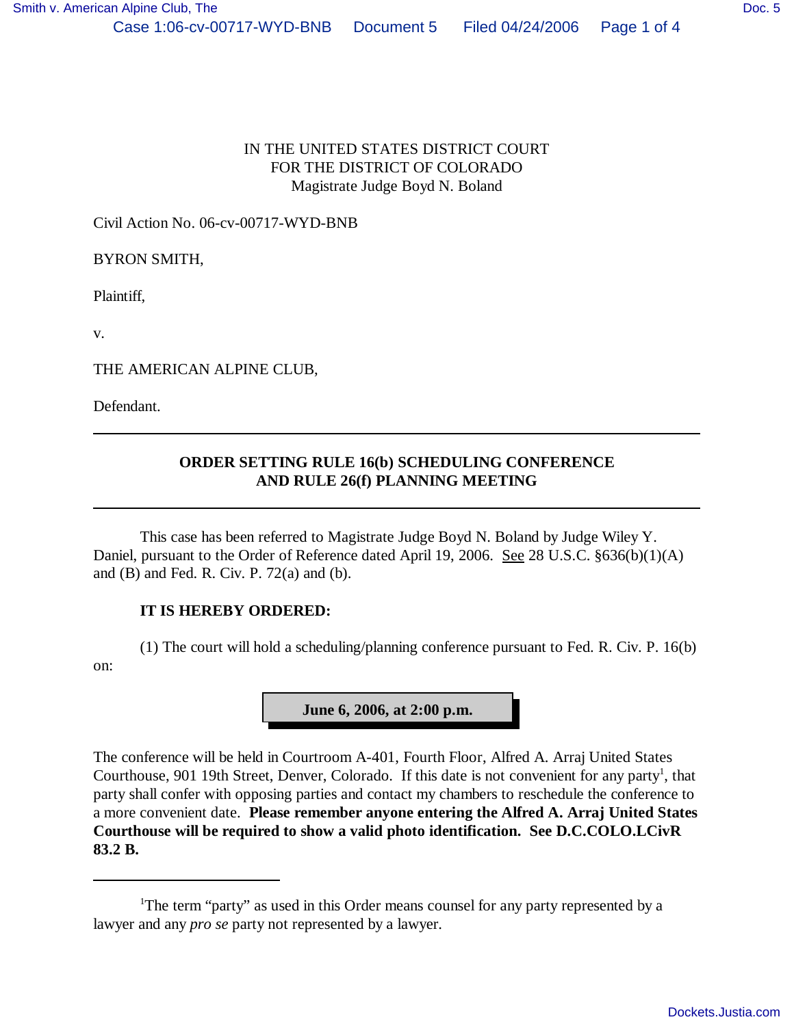## IN THE UNITED STATES DISTRICT COURT FOR THE DISTRICT OF COLORADO Magistrate Judge Boyd N. Boland

Civil Action No. 06-cv-00717-WYD-BNB

BYRON SMITH,

Plaintiff,

v.

THE AMERICAN ALPINE CLUB,

Defendant.

## **ORDER SETTING RULE 16(b) SCHEDULING CONFERENCE AND RULE 26(f) PLANNING MEETING**

This case has been referred to Magistrate Judge Boyd N. Boland by Judge Wiley Y. Daniel, pursuant to the Order of Reference dated April 19, 2006. See 28 U.S.C. §636(b)(1)(A) and  $(B)$  and Fed. R. Civ. P. 72 $(a)$  and  $(b)$ .

## **IT IS HEREBY ORDERED:**

(1) The court will hold a scheduling/planning conference pursuant to Fed. R. Civ. P. 16(b) on:

**June 6, 2006, at 2:00 p.m.**

The conference will be held in Courtroom A-401, Fourth Floor, Alfred A. Arraj United States Courthouse, 901 19th Street, Denver, Colorado. If this date is not convenient for any party<sup>1</sup>, that party shall confer with opposing parties and contact my chambers to reschedule the conference to a more convenient date. **Please remember anyone entering the Alfred A. Arraj United States Courthouse will be required to show a valid photo identification. See D.C.COLO.LCivR 83.2 B.**

<sup>&</sup>lt;sup>1</sup>The term "party" as used in this Order means counsel for any party represented by a lawyer and any *pro se* party not represented by a lawyer.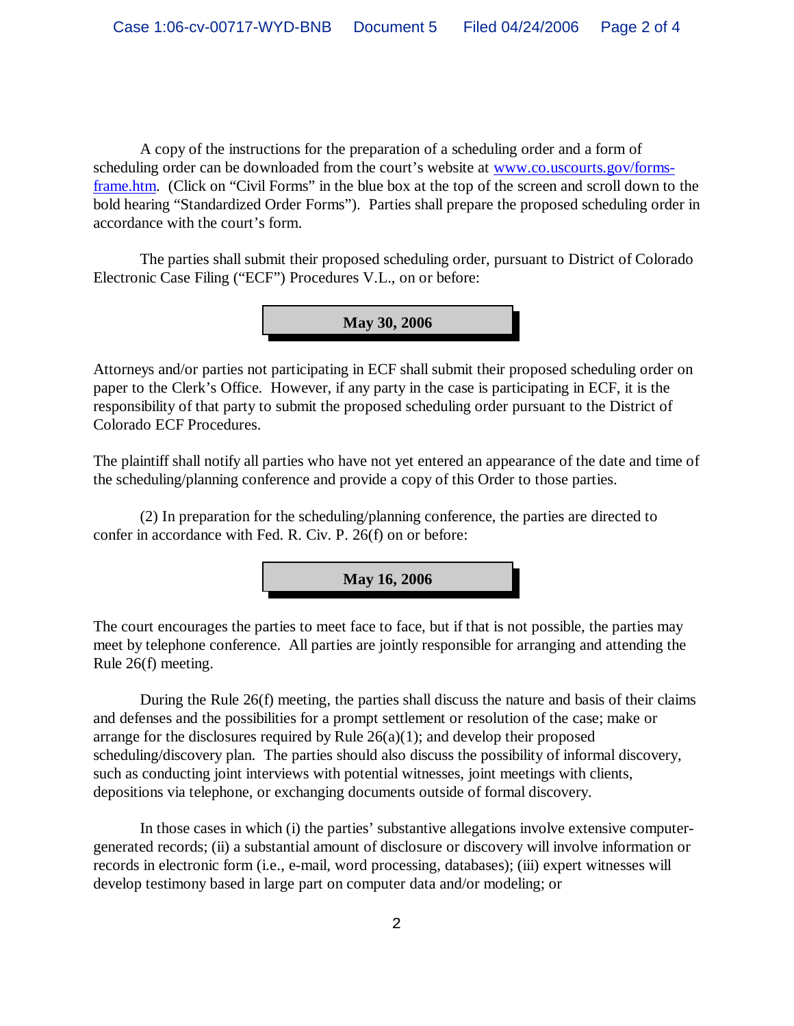A copy of the instructions for the preparation of a scheduling order and a form of scheduling order can be downloaded from the court's website at [www.co.uscourts.gov/forms](http://www.co.uscourts.gov/forms-)frame.htm. (Click on "Civil Forms" in the blue box at the top of the screen and scroll down to the bold hearing "Standardized Order Forms"). Parties shall prepare the proposed scheduling order in accordance with the court's form.

The parties shall submit their proposed scheduling order, pursuant to District of Colorado Electronic Case Filing ("ECF") Procedures V.L., on or before:

**May 30, 2006**

Attorneys and/or parties not participating in ECF shall submit their proposed scheduling order on paper to the Clerk's Office. However, if any party in the case is participating in ECF, it is the responsibility of that party to submit the proposed scheduling order pursuant to the District of Colorado ECF Procedures.

The plaintiff shall notify all parties who have not yet entered an appearance of the date and time of the scheduling/planning conference and provide a copy of this Order to those parties.

(2) In preparation for the scheduling/planning conference, the parties are directed to confer in accordance with Fed. R. Civ. P. 26(f) on or before:



The court encourages the parties to meet face to face, but if that is not possible, the parties may meet by telephone conference. All parties are jointly responsible for arranging and attending the Rule 26(f) meeting.

During the Rule 26(f) meeting, the parties shall discuss the nature and basis of their claims and defenses and the possibilities for a prompt settlement or resolution of the case; make or arrange for the disclosures required by Rule  $26(a)(1)$ ; and develop their proposed scheduling/discovery plan. The parties should also discuss the possibility of informal discovery, such as conducting joint interviews with potential witnesses, joint meetings with clients, depositions via telephone, or exchanging documents outside of formal discovery.

In those cases in which (i) the parties' substantive allegations involve extensive computergenerated records; (ii) a substantial amount of disclosure or discovery will involve information or records in electronic form (i.e., e-mail, word processing, databases); (iii) expert witnesses will develop testimony based in large part on computer data and/or modeling; or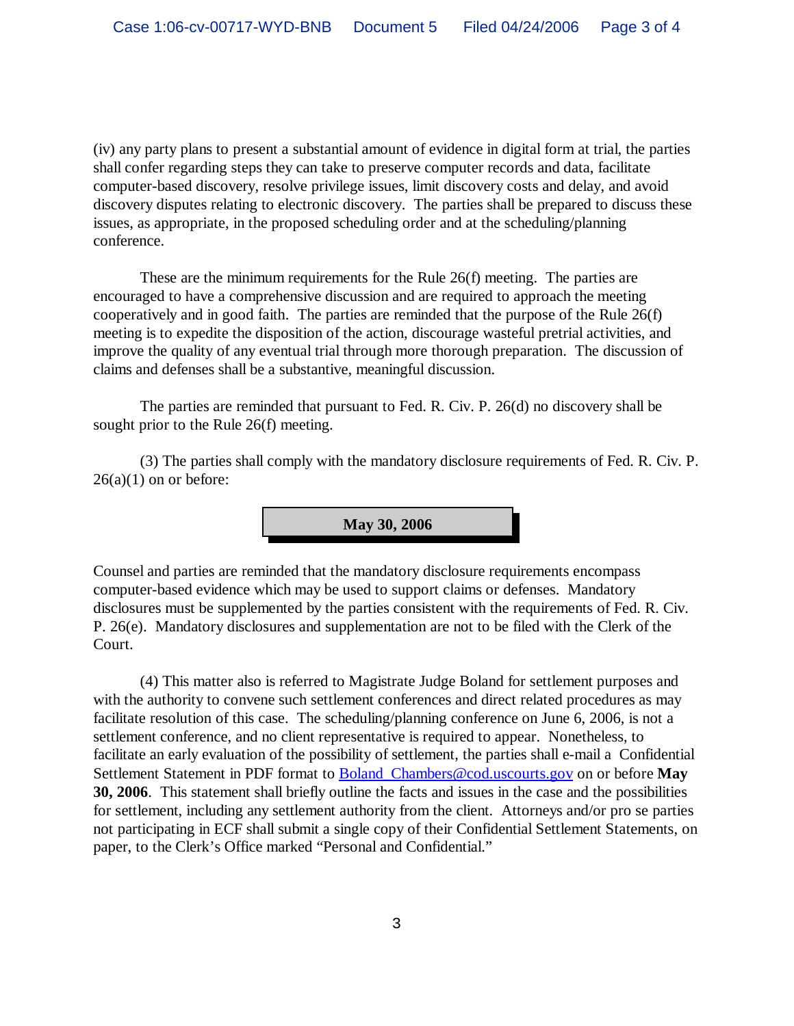(iv) any party plans to present a substantial amount of evidence in digital form at trial, the parties shall confer regarding steps they can take to preserve computer records and data, facilitate computer-based discovery, resolve privilege issues, limit discovery costs and delay, and avoid discovery disputes relating to electronic discovery. The parties shall be prepared to discuss these issues, as appropriate, in the proposed scheduling order and at the scheduling/planning conference.

These are the minimum requirements for the Rule 26(f) meeting. The parties are encouraged to have a comprehensive discussion and are required to approach the meeting cooperatively and in good faith. The parties are reminded that the purpose of the Rule 26(f) meeting is to expedite the disposition of the action, discourage wasteful pretrial activities, and improve the quality of any eventual trial through more thorough preparation. The discussion of claims and defenses shall be a substantive, meaningful discussion.

The parties are reminded that pursuant to Fed. R. Civ. P. 26(d) no discovery shall be sought prior to the Rule 26(f) meeting.

(3) The parties shall comply with the mandatory disclosure requirements of Fed. R. Civ. P.  $26(a)(1)$  on or before:

**May 30, 2006**

Counsel and parties are reminded that the mandatory disclosure requirements encompass computer-based evidence which may be used to support claims or defenses. Mandatory disclosures must be supplemented by the parties consistent with the requirements of Fed. R. Civ. P. 26(e). Mandatory disclosures and supplementation are not to be filed with the Clerk of the Court.

(4) This matter also is referred to Magistrate Judge Boland for settlement purposes and with the authority to convene such settlement conferences and direct related procedures as may facilitate resolution of this case. The scheduling/planning conference on June 6, 2006, is not a settlement conference, and no client representative is required to appear. Nonetheless, to facilitate an early evaluation of the possibility of settlement, the parties shall e-mail a Confidential Settlement Statement in PDF format to [Boland\\_Chambers@cod.uscourts.gov](mailto:Boland_Chambers@cod.uscourts.gov) on or before **May 30, 2006**. This statement shall briefly outline the facts and issues in the case and the possibilities for settlement, including any settlement authority from the client. Attorneys and/or pro se parties not participating in ECF shall submit a single copy of their Confidential Settlement Statements, on paper, to the Clerk's Office marked "Personal and Confidential."